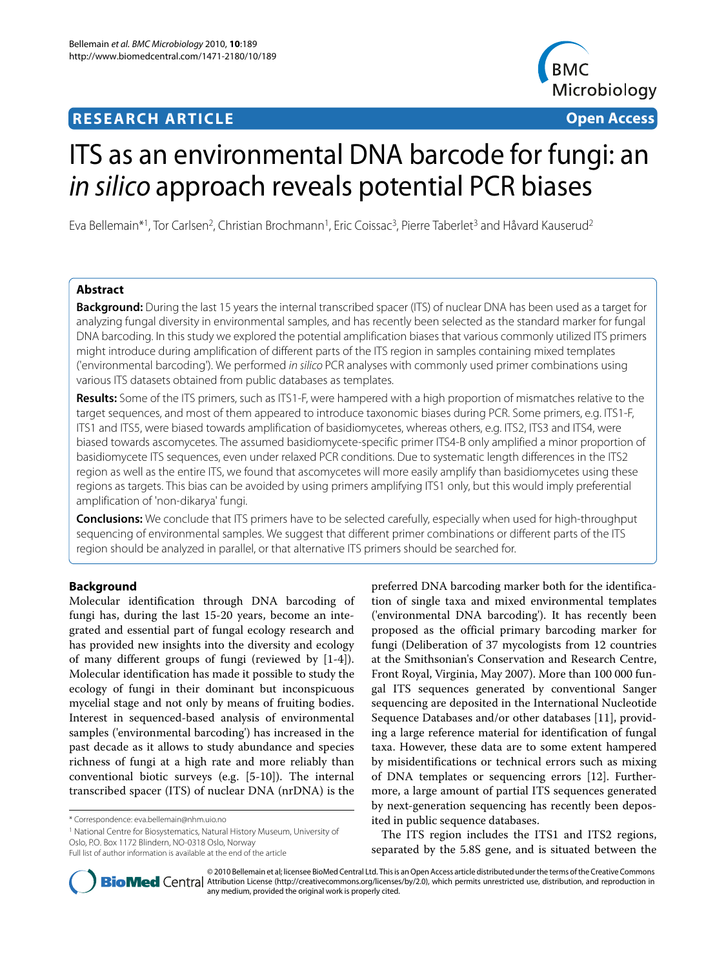# **RESEARCH ARTICLE Open Access**



# ITS as an environmental DNA barcode for fungi: an in silico approach reveals potential PCR biases

Eva Bellemain<sup>\*1</sup>, Tor Carlsen<sup>2</sup>, Christian Brochmann<sup>1</sup>, Eric Coissac<sup>3</sup>, Pierre Taberlet<sup>3</sup> and Håvard Kauserud<sup>2</sup>

# **Abstract**

**Background:** During the last 15 years the internal transcribed spacer (ITS) of nuclear DNA has been used as a target for analyzing fungal diversity in environmental samples, and has recently been selected as the standard marker for fungal DNA barcoding. In this study we explored the potential amplification biases that various commonly utilized ITS primers might introduce during amplification of different parts of the ITS region in samples containing mixed templates ('environmental barcoding'). We performed in silico PCR analyses with commonly used primer combinations using various ITS datasets obtained from public databases as templates.

**Results:** Some of the ITS primers, such as ITS1-F, were hampered with a high proportion of mismatches relative to the target sequences, and most of them appeared to introduce taxonomic biases during PCR. Some primers, e.g. ITS1-F, ITS1 and ITS5, were biased towards amplification of basidiomycetes, whereas others, e.g. ITS2, ITS3 and ITS4, were biased towards ascomycetes. The assumed basidiomycete-specific primer ITS4-B only amplified a minor proportion of basidiomycete ITS sequences, even under relaxed PCR conditions. Due to systematic length differences in the ITS2 region as well as the entire ITS, we found that ascomycetes will more easily amplify than basidiomycetes using these regions as targets. This bias can be avoided by using primers amplifying ITS1 only, but this would imply preferential amplification of 'non-dikarya' fungi.

**Conclusions:** We conclude that ITS primers have to be selected carefully, especially when used for high-throughput sequencing of environmental samples. We suggest that different primer combinations or different parts of the ITS region should be analyzed in parallel, or that alternative ITS primers should be searched for.

# **Background**

Molecular identification through DNA barcoding of fungi has, during the last 15-20 years, become an integrated and essential part of fungal ecology research and has provided new insights into the diversity and ecology of many different groups of fungi (reviewed by [\[1](#page-7-0)[-4\]](#page-7-1)). Molecular identification has made it possible to study the ecology of fungi in their dominant but inconspicuous mycelial stage and not only by means of fruiting bodies. Interest in sequenced-based analysis of environmental samples ('environmental barcoding') has increased in the past decade as it allows to study abundance and species richness of fungi at a high rate and more reliably than conventional biotic surveys (e.g. [[5-](#page-7-2)[10](#page-7-3)]). The internal transcribed spacer (ITS) of nuclear DNA (nrDNA) is the

1 National Centre for Biosystematics, Natural History Museum, University of Oslo, P.O. Box 1172 Blindern, NO-0318 Oslo, Norway

preferred DNA barcoding marker both for the identification of single taxa and mixed environmental templates ('environmental DNA barcoding'). It has recently been proposed as the official primary barcoding marker for fungi (Deliberation of 37 mycologists from 12 countries at the Smithsonian's Conservation and Research Centre, Front Royal, Virginia, May 2007). More than 100 000 fungal ITS sequences generated by conventional Sanger sequencing are deposited in the International Nucleotide Sequence Databases and/or other databases [\[11](#page-8-0)], providing a large reference material for identification of fungal taxa. However, these data are to some extent hampered by misidentifications or technical errors such as mixing of DNA templates or sequencing errors [\[12](#page-8-1)]. Furthermore, a large amount of partial ITS sequences generated by next-generation sequencing has recently been deposited in public sequence databases.

The ITS region includes the ITS1 and ITS2 regions, separated by the 5.8S gene, and is situated between the



© 2010 Bellemain et al; licensee BioMed Central Ltd. This is an Open Access article distributed under the terms of the Creative Commons **Bio Med Centra** Attribution License (http://creativecommons.org/licenses/by/2.0), which permits unrestricted use, distribution, and reproduction in any medium, provided the original work is properly cited.

<sup>\*</sup> Correspondence: eva.bellemain@nhm.uio.no

Full list of author information is available at the end of the article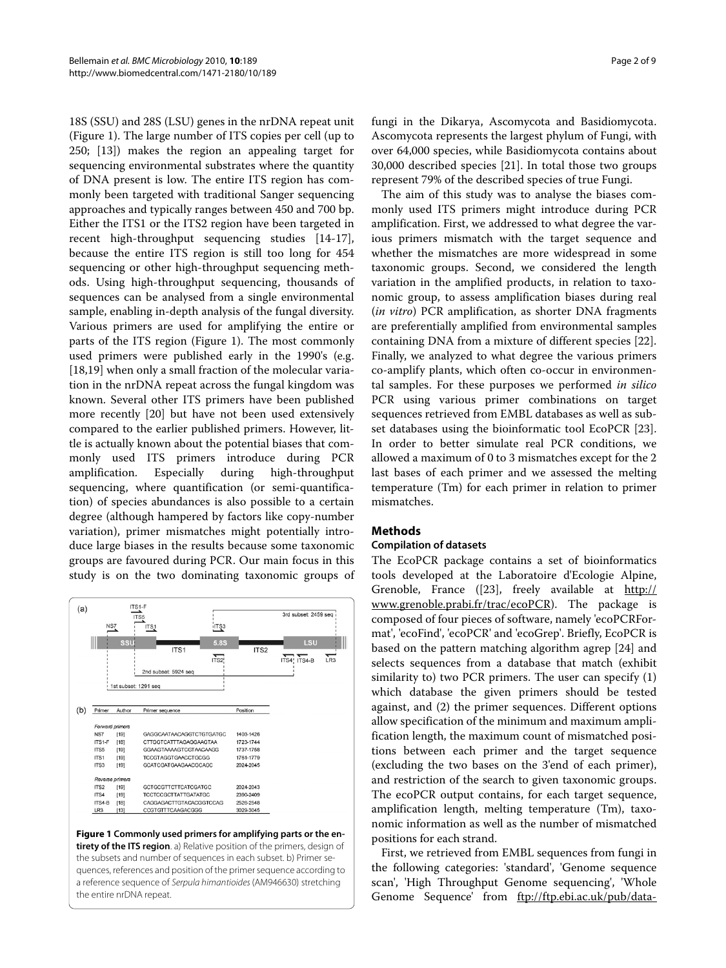18S (SSU) and 28S (LSU) genes in the nrDNA repeat unit (Figure [1](#page-1-0)). The large number of ITS copies per cell (up to 250; [[13\]](#page-8-2)) makes the region an appealing target for sequencing environmental substrates where the quantity of DNA present is low. The entire ITS region has commonly been targeted with traditional Sanger sequencing approaches and typically ranges between 450 and 700 bp. Either the ITS1 or the ITS2 region have been targeted in recent high-throughput sequencing studies [[14-](#page-8-3)[17](#page-8-4)], because the entire ITS region is still too long for 454 sequencing or other high-throughput sequencing methods. Using high-throughput sequencing, thousands of sequences can be analysed from a single environmental sample, enabling in-depth analysis of the fungal diversity. Various primers are used for amplifying the entire or parts of the ITS region (Figure [1](#page-1-0)). The most commonly used primers were published early in the 1990's (e.g. [[18,](#page-8-5)[19\]](#page-8-6) when only a small fraction of the molecular variation in the nrDNA repeat across the fungal kingdom was known. Several other ITS primers have been published more recently [\[20](#page-8-7)] but have not been used extensively compared to the earlier published primers. However, little is actually known about the potential biases that commonly used ITS primers introduce during PCR amplification. Especially during high-throughput sequencing, where quantification (or semi-quantification) of species abundances is also possible to a certain degree (although hampered by factors like copy-number variation), primer mismatches might potentially introduce large biases in the results because some taxonomic groups are favoured during PCR. Our main focus in this study is on the two dominating taxonomic groups of

<span id="page-1-0"></span>

**Figure 1 Commonly used primers for amplifying parts or the entirety of the ITS region**. a) Relative position of the primers, design of the subsets and number of sequences in each subset. b) Primer sequences, references and position of the primer sequence according to a reference sequence of Serpula himantioides (AM946630) stretching the entire nrDNA repeat.

fungi in the Dikarya, Ascomycota and Basidiomycota. Ascomycota represents the largest phylum of Fungi, with over 64,000 species, while Basidiomycota contains about 30,000 described species [[21\]](#page-8-8). In total those two groups represent 79% of the described species of true Fungi.

The aim of this study was to analyse the biases commonly used ITS primers might introduce during PCR amplification. First, we addressed to what degree the various primers mismatch with the target sequence and whether the mismatches are more widespread in some taxonomic groups. Second, we considered the length variation in the amplified products, in relation to taxonomic group, to assess amplification biases during real (in vitro) PCR amplification, as shorter DNA fragments are preferentially amplified from environmental samples containing DNA from a mixture of different species [\[22](#page-8-9)]. Finally, we analyzed to what degree the various primers co-amplify plants, which often co-occur in environmental samples. For these purposes we performed in silico PCR using various primer combinations on target sequences retrieved from EMBL databases as well as subset databases using the bioinformatic tool EcoPCR [\[23](#page-8-10)]. In order to better simulate real PCR conditions, we allowed a maximum of 0 to 3 mismatches except for the 2 last bases of each primer and we assessed the melting temperature (Tm) for each primer in relation to primer mismatches.

# **Methods**

#### **Compilation of datasets**

The EcoPCR package contains a set of bioinformatics tools developed at the Laboratoire d'Ecologie Alpine, Grenoble, France ([\[23](#page-8-10)], freely available at [http://](http://www.grenoble.prabi.fr/trac/ecoPCR) [www.grenoble.prabi.fr/trac/ecoPCR\)](http://www.grenoble.prabi.fr/trac/ecoPCR). The package is composed of four pieces of software, namely 'ecoPCRFormat', 'ecoFind', 'ecoPCR' and 'ecoGrep'. Briefly, EcoPCR is based on the pattern matching algorithm agrep [\[24](#page-8-11)] and selects sequences from a database that match (exhibit similarity to) two PCR primers. The user can specify (1) which database the given primers should be tested against, and (2) the primer sequences. Different options allow specification of the minimum and maximum amplification length, the maximum count of mismatched positions between each primer and the target sequence (excluding the two bases on the 3'end of each primer), and restriction of the search to given taxonomic groups. The ecoPCR output contains, for each target sequence, amplification length, melting temperature (Tm), taxonomic information as well as the number of mismatched positions for each strand.

First, we retrieved from EMBL sequences from fungi in the following categories: 'standard', 'Genome sequence scan', 'High Throughput Genome sequencing', 'Whole Genome Sequence' from [ftp://ftp.ebi.ac.uk/pub/data](ftp://ftp.ebi.ac.uk/pub/databases/embl/release/)-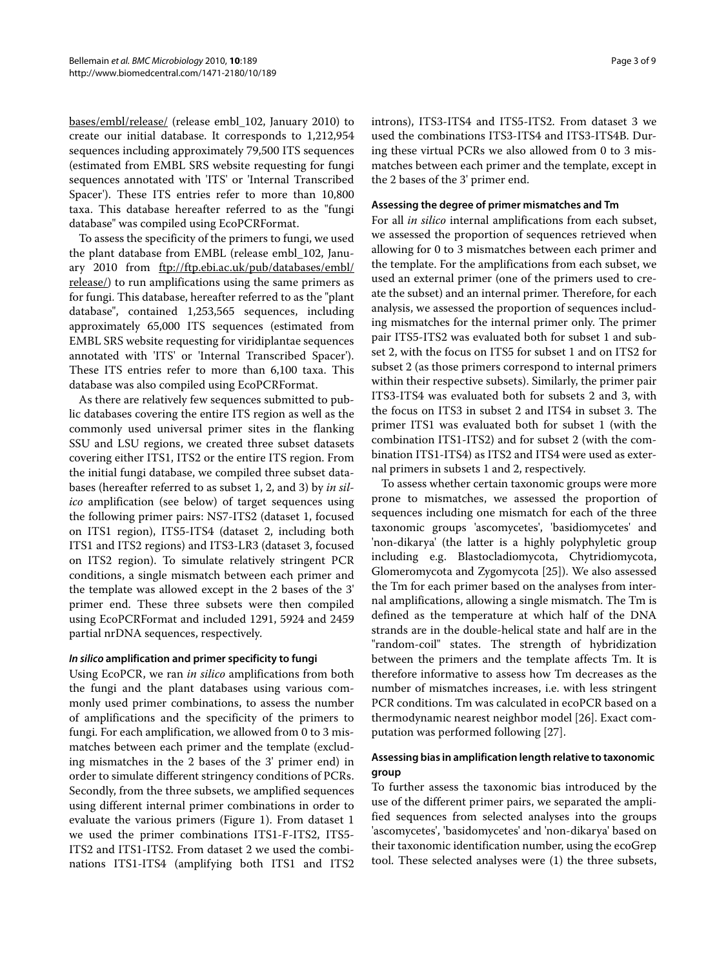[bases/embl/release/](ftp://ftp.ebi.ac.uk/pub/databases/embl/release/) (release embl\_102, January 2010) to create our initial database. It corresponds to 1,212,954 sequences including approximately 79,500 ITS sequences (estimated from EMBL SRS website requesting for fungi sequences annotated with 'ITS' or 'Internal Transcribed Spacer'). These ITS entries refer to more than 10,800 taxa. This database hereafter referred to as the "fungi database" was compiled using EcoPCRFormat.

To assess the specificity of the primers to fungi, we used the plant database from EMBL (release embl\_102, January 2010 from [ftp://ftp.ebi.ac.uk/pub/databases/embl/](ftp://ftp.ebi.ac.uk/pub/databases/embl/release/) [release/](ftp://ftp.ebi.ac.uk/pub/databases/embl/release/)) to run amplifications using the same primers as for fungi. This database, hereafter referred to as the "plant database", contained 1,253,565 sequences, including approximately 65,000 ITS sequences (estimated from EMBL SRS website requesting for viridiplantae sequences annotated with 'ITS' or 'Internal Transcribed Spacer'). These ITS entries refer to more than 6,100 taxa. This database was also compiled using EcoPCRFormat.

As there are relatively few sequences submitted to public databases covering the entire ITS region as well as the commonly used universal primer sites in the flanking SSU and LSU regions, we created three subset datasets covering either ITS1, ITS2 or the entire ITS region. From the initial fungi database, we compiled three subset databases (hereafter referred to as subset 1, 2, and 3) by in silico amplification (see below) of target sequences using the following primer pairs: NS7-ITS2 (dataset 1, focused on ITS1 region), ITS5-ITS4 (dataset 2, including both ITS1 and ITS2 regions) and ITS3-LR3 (dataset 3, focused on ITS2 region). To simulate relatively stringent PCR conditions, a single mismatch between each primer and the template was allowed except in the 2 bases of the 3' primer end. These three subsets were then compiled using EcoPCRFormat and included 1291, 5924 and 2459 partial nrDNA sequences, respectively.

# *In silico* **amplification and primer specificity to fungi**

Using EcoPCR, we ran in silico amplifications from both the fungi and the plant databases using various commonly used primer combinations, to assess the number of amplifications and the specificity of the primers to fungi. For each amplification, we allowed from 0 to 3 mismatches between each primer and the template (excluding mismatches in the 2 bases of the 3' primer end) in order to simulate different stringency conditions of PCRs. Secondly, from the three subsets, we amplified sequences using different internal primer combinations in order to evaluate the various primers (Figure [1\)](#page-1-0). From dataset 1 we used the primer combinations ITS1-F-ITS2, ITS5- ITS2 and ITS1-ITS2. From dataset 2 we used the combinations ITS1-ITS4 (amplifying both ITS1 and ITS2 introns), ITS3-ITS4 and ITS5-ITS2. From dataset 3 we used the combinations ITS3-ITS4 and ITS3-ITS4B. During these virtual PCRs we also allowed from 0 to 3 mismatches between each primer and the template, except in the 2 bases of the 3' primer end.

#### **Assessing the degree of primer mismatches and Tm**

For all in silico internal amplifications from each subset, we assessed the proportion of sequences retrieved when allowing for 0 to 3 mismatches between each primer and the template. For the amplifications from each subset, we used an external primer (one of the primers used to create the subset) and an internal primer. Therefore, for each analysis, we assessed the proportion of sequences including mismatches for the internal primer only. The primer pair ITS5-ITS2 was evaluated both for subset 1 and subset 2, with the focus on ITS5 for subset 1 and on ITS2 for subset 2 (as those primers correspond to internal primers within their respective subsets). Similarly, the primer pair ITS3-ITS4 was evaluated both for subsets 2 and 3, with the focus on ITS3 in subset 2 and ITS4 in subset 3. The primer ITS1 was evaluated both for subset 1 (with the combination ITS1-ITS2) and for subset 2 (with the combination ITS1-ITS4) as ITS2 and ITS4 were used as external primers in subsets 1 and 2, respectively.

To assess whether certain taxonomic groups were more prone to mismatches, we assessed the proportion of sequences including one mismatch for each of the three taxonomic groups 'ascomycetes', 'basidiomycetes' and 'non-dikarya' (the latter is a highly polyphyletic group including e.g. Blastocladiomycota, Chytridiomycota, Glomeromycota and Zygomycota [[25\]](#page-8-12)). We also assessed the Tm for each primer based on the analyses from internal amplifications, allowing a single mismatch. The Tm is defined as the temperature at which half of the DNA strands are in the double-helical state and half are in the "random-coil" states. The strength of hybridization between the primers and the template affects Tm. It is therefore informative to assess how Tm decreases as the number of mismatches increases, i.e. with less stringent PCR conditions. Tm was calculated in ecoPCR based on a thermodynamic nearest neighbor model [[26\]](#page-8-13). Exact computation was performed following [[27\]](#page-8-14).

# **Assessing bias in amplification length relative to taxonomic group**

To further assess the taxonomic bias introduced by the use of the different primer pairs, we separated the amplified sequences from selected analyses into the groups 'ascomycetes', 'basidomycetes' and 'non-dikarya' based on their taxonomic identification number, using the ecoGrep tool. These selected analyses were (1) the three subsets,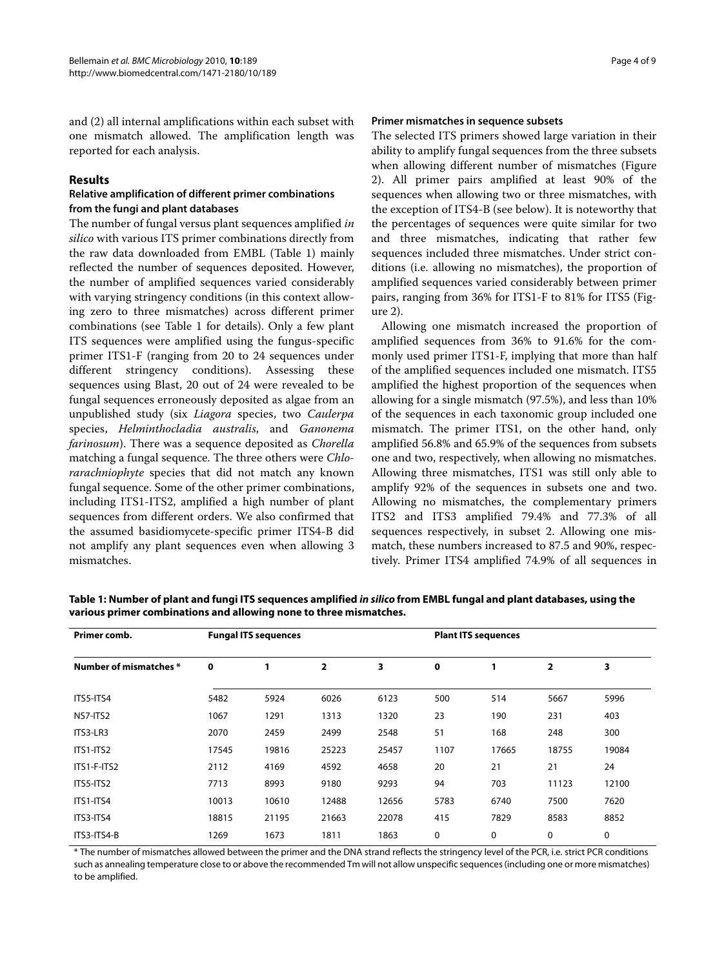and (2) all internal amplifications within each subset with one mismatch allowed. The amplification length was reported for each analysis.

#### **Results**

# **Relative amplification of different primer combinations from the fungi and plant databases**

The number of fungal versus plant sequences amplified in silico with various ITS primer combinations directly from the raw data downloaded from EMBL (Table 1) mainly reflected the number of sequences deposited. However, the number of amplified sequences varied considerably with varying stringency conditions (in this context allowing zero to three mismatches) across different primer combinations (see Table 1 for details). Only a few plant ITS sequences were amplified using the fungus-specific primer ITS1-F (ranging from 20 to 24 sequences under different stringency conditions). Assessing these sequences using Blast, 20 out of 24 were revealed to be fungal sequences erroneously deposited as algae from an unpublished study (six Liagora species, two Caulerpa species, Helminthocladia australis, and Ganonema farinosum). There was a sequence deposited as Chorella matching a fungal sequence. The three others were Chlorarachniophyte species that did not match any known fungal sequence. Some of the other primer combinations, including ITS1-ITS2, amplified a high number of plant sequences from different orders. We also confirmed that the assumed basidiomycete-specific primer ITS4-B did not amplify any plant sequences even when allowing 3 mismatches.

#### **Primer mismatches in sequence subsets**

The selected ITS primers showed large variation in their ability to amplify fungal sequences from the three subsets when allowing different number of mismatches (Figure [2\)](#page-4-0). All primer pairs amplified at least 90% of the sequences when allowing two or three mismatches, with the exception of ITS4-B (see below). It is noteworthy that the percentages of sequences were quite similar for two and three mismatches, indicating that rather few sequences included three mismatches. Under strict conditions (i.e. allowing no mismatches), the proportion of amplified sequences varied considerably between primer pairs, ranging from 36% for ITS1-F to 81% for ITS5 (Figure [2](#page-4-0)).

Allowing one mismatch increased the proportion of amplified sequences from 36% to 91.6% for the commonly used primer ITS1-F, implying that more than half of the amplified sequences included one mismatch. ITS5 amplified the highest proportion of the sequences when allowing for a single mismatch (97.5%), and less than 10% of the sequences in each taxonomic group included one mismatch. The primer ITS1, on the other hand, only amplified 56.8% and 65.9% of the sequences from subsets one and two, respectively, when allowing no mismatches. Allowing three mismatches, ITS1 was still only able to amplify 92% of the sequences in subsets one and two. Allowing no mismatches, the complementary primers ITS2 and ITS3 amplified 79.4% and 77.3% of all sequences respectively, in subset 2. Allowing one mismatch, these numbers increased to 87.5 and 90%, respectively. Primer ITS4 amplified 74.9% of all sequences in

| Primer comb.           | <b>Fungal ITS sequences</b> |       |                |       | <b>Plant ITS sequences</b> |       |                |       |
|------------------------|-----------------------------|-------|----------------|-------|----------------------------|-------|----------------|-------|
| Number of mismatches * | 0                           | 1     | $\overline{2}$ | 3     | $\mathbf 0$                |       | $\overline{2}$ | 3     |
| ITS5-ITS4              | 5482                        | 5924  | 6026           | 6123  | 500                        | 514   | 5667           | 5996  |
| NS7-ITS2               | 1067                        | 1291  | 1313           | 1320  | 23                         | 190   | 231            | 403   |
| ITS3-LR3               | 2070                        | 2459  | 2499           | 2548  | 51                         | 168   | 248            | 300   |
| ITS1-ITS2              | 17545                       | 19816 | 25223          | 25457 | 1107                       | 17665 | 18755          | 19084 |
| ITS1-F-ITS2            | 2112                        | 4169  | 4592           | 4658  | 20                         | 21    | 21             | 24    |
| ITS5-ITS2              | 7713                        | 8993  | 9180           | 9293  | 94                         | 703   | 11123          | 12100 |
| ITS1-ITS4              | 10013                       | 10610 | 12488          | 12656 | 5783                       | 6740  | 7500           | 7620  |
| ITS3-ITS4              | 18815                       | 21195 | 21663          | 22078 | 415                        | 7829  | 8583           | 8852  |
| ITS3-ITS4-B            | 1269                        | 1673  | 1811           | 1863  | 0                          | 0     | 0              | 0     |

<span id="page-3-0"></span>**Table 1: Number of plant and fungi ITS sequences amplified** *in silico* **from EMBL fungal and plant databases, using the various primer combinations and allowing none to three mismatches.**

\* The number of mismatches allowed between the primer and the DNA strand reflects the stringency level of the PCR, i.e. strict PCR conditions such as annealing temperature close to or above the recommended Tm will not allow unspecific sequences (including one or more mismatches) to be amplified.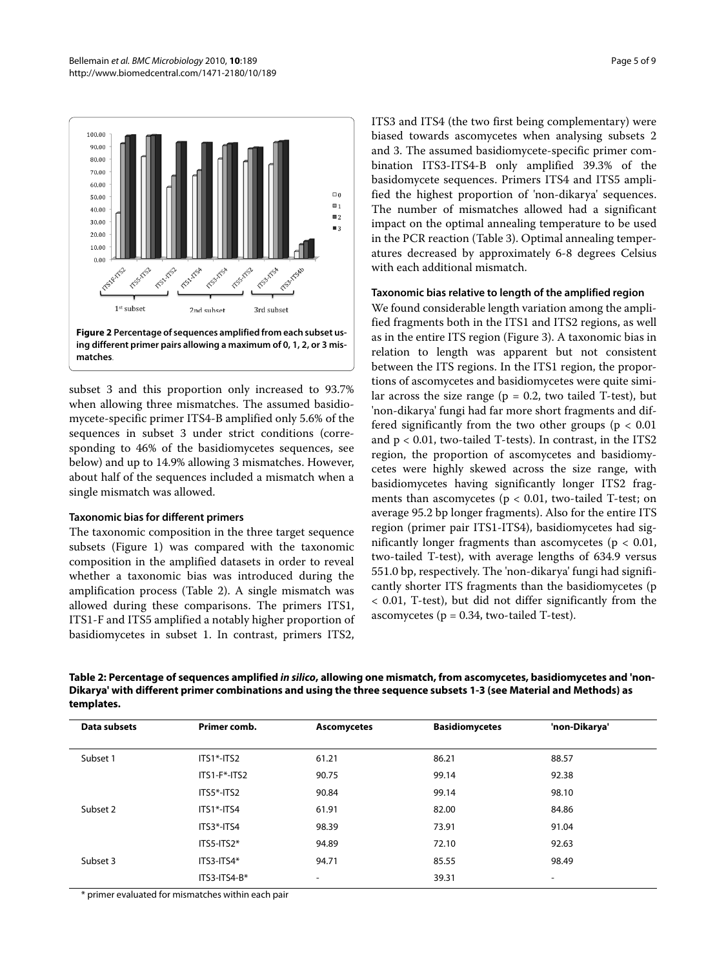<span id="page-4-0"></span>100.00



subset 3 and this proportion only increased to 93.7% when allowing three mismatches. The assumed basidiomycete-specific primer ITS4-B amplified only 5.6% of the sequences in subset 3 under strict conditions (corresponding to 46% of the basidiomycetes sequences, see below) and up to 14.9% allowing 3 mismatches. However, about half of the sequences included a mismatch when a single mismatch was allowed.

# **Taxonomic bias for different primers**

The taxonomic composition in the three target sequence subsets (Figure [1\)](#page-1-0) was compared with the taxonomic composition in the amplified datasets in order to reveal whether a taxonomic bias was introduced during the amplification process (Table 2). A single mismatch was allowed during these comparisons. The primers ITS1, ITS1-F and ITS5 amplified a notably higher proportion of basidiomycetes in subset 1. In contrast, primers ITS2,

ITS3 and ITS4 (the two first being complementary) were biased towards ascomycetes when analysing subsets 2 and 3. The assumed basidiomycete-specific primer combination ITS3-ITS4-B only amplified 39.3% of the basidomycete sequences. Primers ITS4 and ITS5 amplified the highest proportion of 'non-dikarya' sequences. The number of mismatches allowed had a significant impact on the optimal annealing temperature to be used in the PCR reaction (Table 3). Optimal annealing temperatures decreased by approximately 6-8 degrees Celsius with each additional mismatch.

#### **Taxonomic bias relative to length of the amplified region**

We found considerable length variation among the amplified fragments both in the ITS1 and ITS2 regions, as well as in the entire ITS region (Figure [3](#page-6-0)). A taxonomic bias in relation to length was apparent but not consistent between the ITS regions. In the ITS1 region, the proportions of ascomycetes and basidiomycetes were quite similar across the size range ( $p = 0.2$ , two tailed T-test), but 'non-dikarya' fungi had far more short fragments and differed significantly from the two other groups ( $p < 0.01$ ) and p < 0.01, two-tailed T-tests). In contrast, in the ITS2 region, the proportion of ascomycetes and basidiomycetes were highly skewed across the size range, with basidiomycetes having significantly longer ITS2 fragments than ascomycetes ( $p < 0.01$ , two-tailed T-test; on average 95.2 bp longer fragments). Also for the entire ITS region (primer pair ITS1-ITS4), basidiomycetes had significantly longer fragments than ascomycetes ( $p < 0.01$ , two-tailed T-test), with average lengths of 634.9 versus 551.0 bp, respectively. The 'non-dikarya' fungi had significantly shorter ITS fragments than the basidiomycetes (p < 0.01, T-test), but did not differ significantly from the ascomycetes ( $p = 0.34$ , two-tailed T-test).

**Table 2: Percentage of sequences amplified** *in silico***, allowing one mismatch, from ascomycetes, basidiomycetes and 'non-Dikarya' with different primer combinations and using the three sequence subsets 1-3 (see Material and Methods) as templates.**

| Data subsets | Primer comb.   | <b>Ascomycetes</b> | <b>Basidiomycetes</b> | 'non-Dikarya' |
|--------------|----------------|--------------------|-----------------------|---------------|
| Subset 1     | ITS1*-ITS2     | 61.21              | 86.21                 | 88.57         |
|              | $ITS1-F*-ITS2$ | 90.75              | 99.14                 | 92.38         |
|              | ITS5*-ITS2     | 90.84              | 99.14                 | 98.10         |
| Subset 2     | ITS1*-ITS4     | 61.91              | 82.00                 | 84.86         |
|              | ITS3*-ITS4     | 98.39              | 73.91                 | 91.04         |
|              | ITS5-ITS2*     | 94.89              | 72.10                 | 92.63         |
| Subset 3     | ITS3-ITS4*     | 94.71              | 85.55                 | 98.49         |
|              | ITS3-ITS4-B*   | ۰                  | 39.31                 | -             |

\* primer evaluated for mismatches within each pair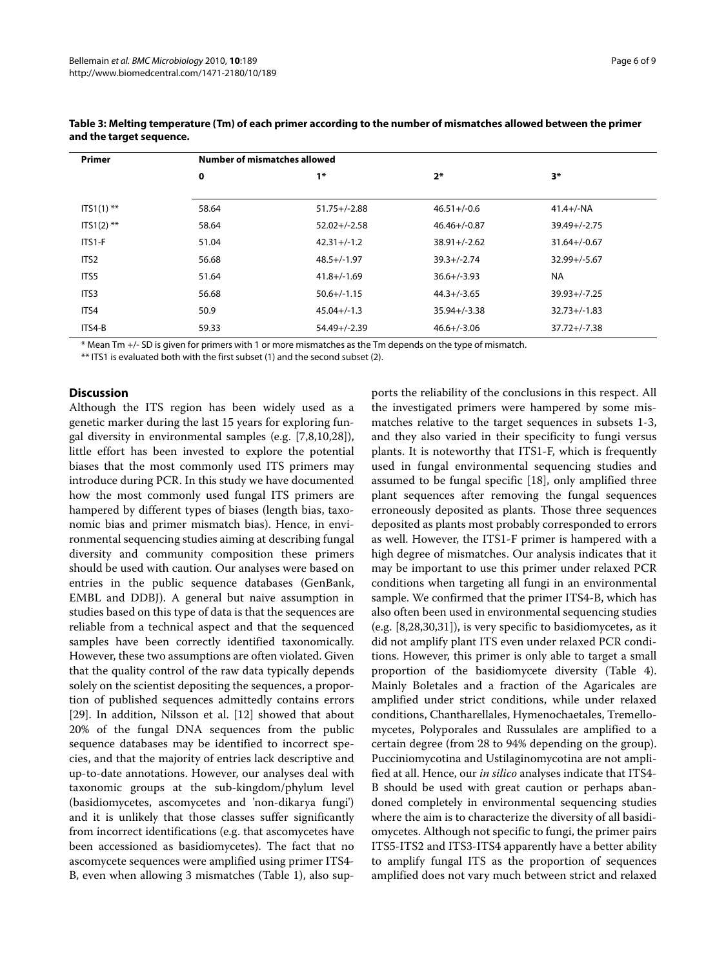| Primer           | Number of mismatches allowed |                   |                   |                   |  |
|------------------|------------------------------|-------------------|-------------------|-------------------|--|
|                  | 0                            | $1*$              | $2*$              | $3*$              |  |
| $ITS1(1)$ **     | 58.64                        | $51.75 + (-2.88)$ | $46.51 + (-0.6)$  | $41.4+/-NA$       |  |
| $ITS1(2)$ **     | 58.64                        | $52.02 + / -2.58$ | $46.46 + (-0.87)$ | $39.49 + / -2.75$ |  |
| ITS1-F           | 51.04                        | $42.31 +/-1.2$    | $38.91 + (-2.62)$ | $31.64 + / -0.67$ |  |
| ITS <sub>2</sub> | 56.68                        | $48.5 + (-1.97)$  | $39.3+/2.74$      | $32.99 + / -5.67$ |  |
| ITS5             | 51.64                        | $41.8 + (-1.69)$  | $36.6 + (-3.93)$  | <b>NA</b>         |  |
| ITS3             | 56.68                        | $50.6 +/-1.15$    | $44.3 + (-3.65)$  | $39.93 + / -7.25$ |  |
| ITS4             | 50.9                         | $45.04 +/-1.3$    | $35.94 + (-3.38)$ | $32.73 + (-1.83)$ |  |
| ITS4-B           | 59.33                        | $54.49 + (-2.39)$ | $46.6 + (-3.06)$  | $37.72 + (-7.38)$ |  |

**Table 3: Melting temperature (Tm) of each primer according to the number of mismatches allowed between the primer and the target sequence.**

\* Mean Tm +/- SD is given for primers with 1 or more mismatches as the Tm depends on the type of mismatch.

\*\* ITS1 is evaluated both with the first subset (1) and the second subset (2).

#### **Discussion**

Although the ITS region has been widely used as a genetic marker during the last 15 years for exploring fungal diversity in environmental samples (e.g. [[7,](#page-7-4)[8,](#page-7-5)[10,](#page-7-3)[28\]](#page-8-15)), little effort has been invested to explore the potential biases that the most commonly used ITS primers may introduce during PCR. In this study we have documented how the most commonly used fungal ITS primers are hampered by different types of biases (length bias, taxonomic bias and primer mismatch bias). Hence, in environmental sequencing studies aiming at describing fungal diversity and community composition these primers should be used with caution. Our analyses were based on entries in the public sequence databases (GenBank, EMBL and DDBJ). A general but naive assumption in studies based on this type of data is that the sequences are reliable from a technical aspect and that the sequenced samples have been correctly identified taxonomically. However, these two assumptions are often violated. Given that the quality control of the raw data typically depends solely on the scientist depositing the sequences, a proportion of published sequences admittedly contains errors [[29\]](#page-8-16). In addition, Nilsson et al. [[12\]](#page-8-1) showed that about 20% of the fungal DNA sequences from the public sequence databases may be identified to incorrect species, and that the majority of entries lack descriptive and up-to-date annotations. However, our analyses deal with taxonomic groups at the sub-kingdom/phylum level (basidiomycetes, ascomycetes and 'non-dikarya fungi') and it is unlikely that those classes suffer significantly from incorrect identifications (e.g. that ascomycetes have been accessioned as basidiomycetes). The fact that no ascomycete sequences were amplified using primer ITS4- B, even when allowing 3 mismatches (Table [1](#page-3-0)), also supports the reliability of the conclusions in this respect. All the investigated primers were hampered by some mismatches relative to the target sequences in subsets 1-3, and they also varied in their specificity to fungi versus plants. It is noteworthy that ITS1-F, which is frequently used in fungal environmental sequencing studies and assumed to be fungal specific [\[18](#page-8-5)], only amplified three plant sequences after removing the fungal sequences erroneously deposited as plants. Those three sequences deposited as plants most probably corresponded to errors as well. However, the ITS1-F primer is hampered with a high degree of mismatches. Our analysis indicates that it may be important to use this primer under relaxed PCR conditions when targeting all fungi in an environmental sample. We confirmed that the primer ITS4-B, which has also often been used in environmental sequencing studies (e.g. [[8](#page-7-5),[28,](#page-8-15)[30,](#page-8-17)[31\]](#page-8-18)), is very specific to basidiomycetes, as it did not amplify plant ITS even under relaxed PCR conditions. However, this primer is only able to target a small proportion of the basidiomycete diversity (Table 4). Mainly Boletales and a fraction of the Agaricales are amplified under strict conditions, while under relaxed conditions, Chantharellales, Hymenochaetales, Tremellomycetes, Polyporales and Russulales are amplified to a certain degree (from 28 to 94% depending on the group). Pucciniomycotina and Ustilaginomycotina are not amplified at all. Hence, our in silico analyses indicate that ITS4- B should be used with great caution or perhaps abandoned completely in environmental sequencing studies where the aim is to characterize the diversity of all basidiomycetes. Although not specific to fungi, the primer pairs ITS5-ITS2 and ITS3-ITS4 apparently have a better ability to amplify fungal ITS as the proportion of sequences amplified does not vary much between strict and relaxed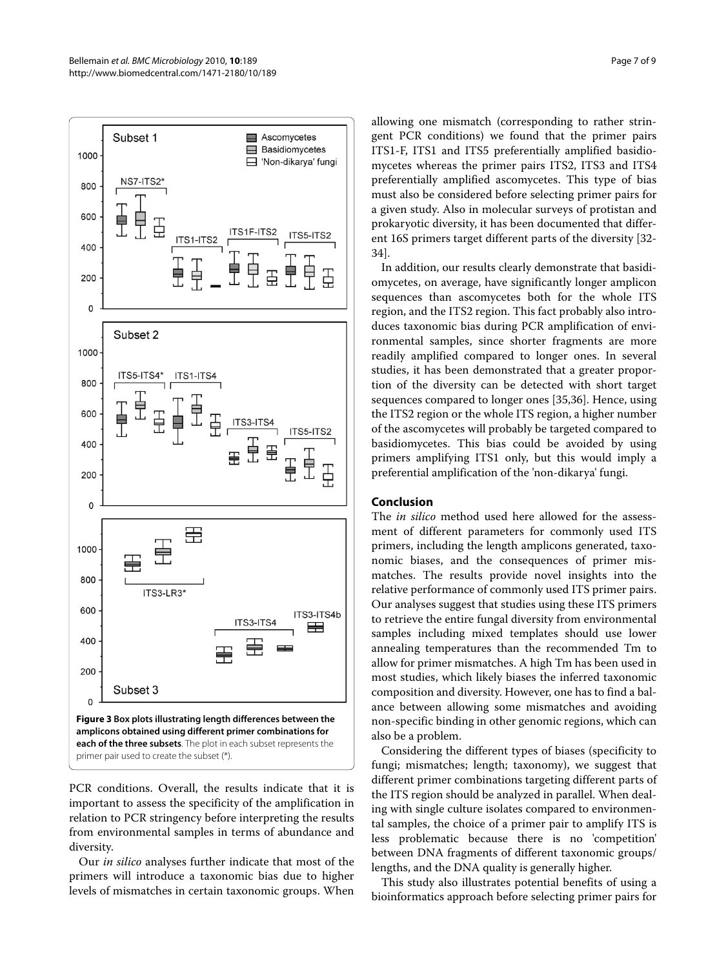<span id="page-6-0"></span>

PCR conditions. Overall, the results indicate that it is important to assess the specificity of the amplification in relation to PCR stringency before interpreting the results from environmental samples in terms of abundance and diversity.

Our in silico analyses further indicate that most of the primers will introduce a taxonomic bias due to higher levels of mismatches in certain taxonomic groups. When

allowing one mismatch (corresponding to rather stringent PCR conditions) we found that the primer pairs ITS1-F, ITS1 and ITS5 preferentially amplified basidiomycetes whereas the primer pairs ITS2, ITS3 and ITS4 preferentially amplified ascomycetes. This type of bias must also be considered before selecting primer pairs for a given study. Also in molecular surveys of protistan and prokaryotic diversity, it has been documented that different 16S primers target different parts of the diversity [\[32](#page-8-19)- [34\]](#page-8-20).

In addition, our results clearly demonstrate that basidiomycetes, on average, have significantly longer amplicon sequences than ascomycetes both for the whole ITS region, and the ITS2 region. This fact probably also introduces taxonomic bias during PCR amplification of environmental samples, since shorter fragments are more readily amplified compared to longer ones. In several studies, it has been demonstrated that a greater proportion of the diversity can be detected with short target sequences compared to longer ones [[35,](#page-8-21)[36\]](#page-8-22). Hence, using the ITS2 region or the whole ITS region, a higher number of the ascomycetes will probably be targeted compared to basidiomycetes. This bias could be avoided by using primers amplifying ITS1 only, but this would imply a preferential amplification of the 'non-dikarya' fungi.

# **Conclusion**

The in silico method used here allowed for the assessment of different parameters for commonly used ITS primers, including the length amplicons generated, taxonomic biases, and the consequences of primer mismatches. The results provide novel insights into the relative performance of commonly used ITS primer pairs. Our analyses suggest that studies using these ITS primers to retrieve the entire fungal diversity from environmental samples including mixed templates should use lower annealing temperatures than the recommended Tm to allow for primer mismatches. A high Tm has been used in most studies, which likely biases the inferred taxonomic composition and diversity. However, one has to find a balance between allowing some mismatches and avoiding non-specific binding in other genomic regions, which can also be a problem.

Considering the different types of biases (specificity to fungi; mismatches; length; taxonomy), we suggest that different primer combinations targeting different parts of the ITS region should be analyzed in parallel. When dealing with single culture isolates compared to environmental samples, the choice of a primer pair to amplify ITS is less problematic because there is no 'competition' between DNA fragments of different taxonomic groups/ lengths, and the DNA quality is generally higher.

This study also illustrates potential benefits of using a bioinformatics approach before selecting primer pairs for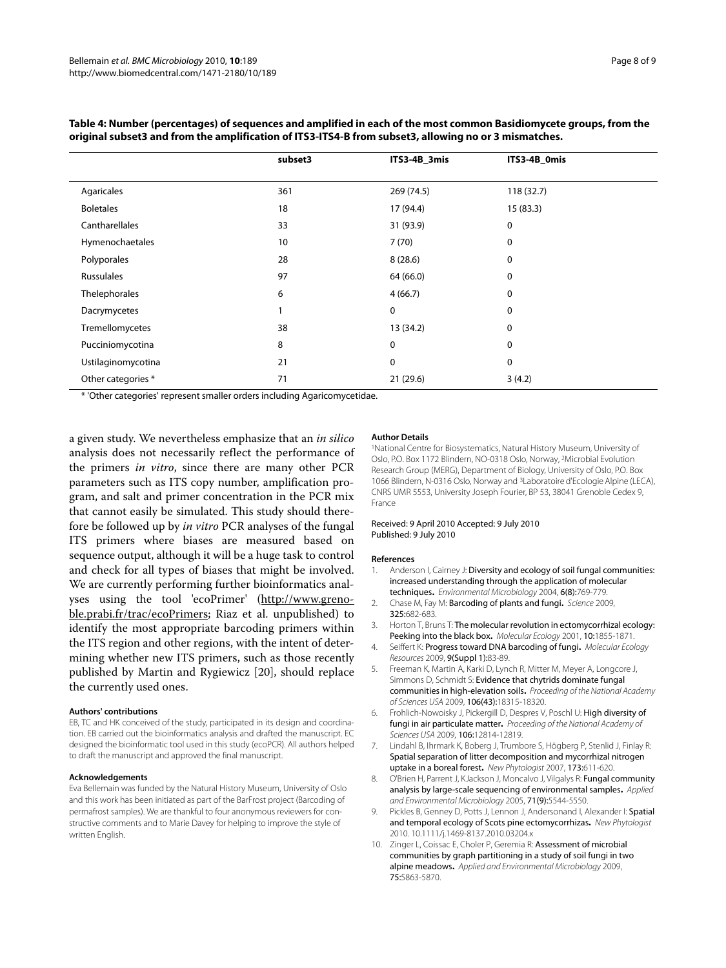|                    | subset3 | ITS3-4B_3mis | ITS3-4B_0mis |
|--------------------|---------|--------------|--------------|
|                    |         |              |              |
| Agaricales         | 361     | 269 (74.5)   | 118 (32.7)   |
| <b>Boletales</b>   | 18      | 17 (94.4)    | 15(83.3)     |
| Cantharellales     | 33      | 31 (93.9)    | 0            |
| Hymenochaetales    | 10      | 7(70)        | 0            |
| Polyporales        | 28      | 8(28.6)      | 0            |
| Russulales         | 97      | 64 (66.0)    | 0            |
| Thelephorales      | 6       | 4(66.7)      | 0            |
| Dacrymycetes       | 1       | 0            | 0            |
| Tremellomycetes    | 38      | 13 (34.2)    | 0            |
| Pucciniomycotina   | 8       | $\mathbf{0}$ | 0            |
| Ustilaginomycotina | 21      | 0            | $\mathbf 0$  |
| Other categories * | 71      | 21(29.6)     | 3(4.2)       |

#### **Table 4: Number (percentages) of sequences and amplified in each of the most common Basidiomycete groups, from the original subset3 and from the amplification of ITS3-ITS4-B from subset3, allowing no or 3 mismatches.**

\* 'Other categories' represent smaller orders including Agaricomycetidae.

a given study. We nevertheless emphasize that an in silico analysis does not necessarily reflect the performance of the primers in vitro, since there are many other PCR parameters such as ITS copy number, amplification program, and salt and primer concentration in the PCR mix that cannot easily be simulated. This study should therefore be followed up by in vitro PCR analyses of the fungal ITS primers where biases are measured based on sequence output, although it will be a huge task to control and check for all types of biases that might be involved. We are currently performing further bioinformatics analyses using the tool 'ecoPrimer' [\(http://www.greno](http://www.grenoble.prabi.fr/trac/ecoPrimers)[ble.prabi.fr/trac/ecoPrimers;](http://www.grenoble.prabi.fr/trac/ecoPrimers) Riaz et al. unpublished) to identify the most appropriate barcoding primers within the ITS region and other regions, with the intent of determining whether new ITS primers, such as those recently published by Martin and Rygiewicz [[20](#page-8-7)], should replace the currently used ones.

#### **Authors' contributions**

EB, TC and HK conceived of the study, participated in its design and coordination. EB carried out the bioinformatics analysis and drafted the manuscript. EC designed the bioinformatic tool used in this study (ecoPCR). All authors helped to draft the manuscript and approved the final manuscript.

#### **Acknowledgements**

Eva Bellemain was funded by the Natural History Museum, University of Oslo and this work has been initiated as part of the BarFrost project (Barcoding of permafrost samples). We are thankful to four anonymous reviewers for constructive comments and to Marie Davey for helping to improve the style of written English.

#### **Author Details**

1National Centre for Biosystematics, Natural History Museum, University of Oslo, P.O. Box 1172 Blindern, NO-0318 Oslo, Norway, 2Microbial Evolution Research Group (MERG), Department of Biology, University of Oslo, P.O. Box 1066 Blindern, N-0316 Oslo, Norway and 3Laboratoire d'Ecologie Alpine (LECA), CNRS UMR 5553, University Joseph Fourier, BP 53, 38041 Grenoble Cedex 9, France

#### Received: 9 April 2010 Accepted: 9 July 2010 Published: 9 July 2010

#### **References**

- <span id="page-7-0"></span>1. Anderson I, Cairney J: Diversity and ecology of soil fungal communities: increased understanding through the application of molecular techniques**[.](http://www.ncbi.nlm.nih.gov/entrez/query.fcgi?cmd=Retrieve&db=PubMed&dopt=Abstract&list_uids=15250879)** Environmental Microbiology 2004, 6(8):769-779.
- 2. Chase M, Fay M: Barcoding of plants and fungi**[.](http://www.ncbi.nlm.nih.gov/entrez/query.fcgi?cmd=Retrieve&db=PubMed&dopt=Abstract&list_uids=19644072)** Science 2009, 325:682-683.
- 3. Horton T, Bruns T: The molecular revolution in ectomycorrhizal ecology: Peeking into the black box**.** Molecular Ecology 2001, 10:1855-1871.
- <span id="page-7-1"></span>4. Seiffert K: Progress toward DNA barcoding of fungi**.** Molecular Ecology Resources 2009, 9(Suppl 1):83-89.
- <span id="page-7-2"></span>5. Freeman K, Martin A, Karki D, Lynch R, Mitter M, Meyer A, Longcore J, Simmons D, Schmidt S: Evidence that chytrids dominate fungal communities in high-elevation soils**.** Proceeding of the National Academy of Sciences USA 2009, 106(43):18315-18320.
- 6. Frohlich-Nowoisky J, Pickergill D, Despres V, Poschl U: High diversity of fungi in air particulate matter**.** Proceeding of the National Academy of Sciences USA 2009, 106:12814-12819.
- <span id="page-7-4"></span>7. Lindahl B, Ihrmark K, Boberg J, Trumbore S, Högberg P, Stenlid J, Finlay R: Spatial separation of litter decomposition and mycorrhizal nitrogen uptake in a boreal forest**.** New Phytologist 2007, 173:611-620.
- <span id="page-7-5"></span>O'Brien H, Parrent J, KJackson J, Moncalvo J, Vilgalys R: Fungal community analysis by large-scale sequencing of environmental samples**.** Applied and Environmental Microbiology 2005, 71(9):5544-5550.
- Pickles B, Genney D, Potts J, Lennon J, Andersonand I, Alexander I: Spatial and temporal ecology of Scots pine ectomycorrhizas**.** New Phytologist 2010. 10.1111/j.1469-8137.2010.03204.x
- <span id="page-7-3"></span>10. Zinger L, Coissac E, Choler P, Geremia R: Assessment of microbial communities by graph partitioning in a study of soil fungi in two alpine meadows**.** Applied and Environmental Microbiology 2009, 75:5863-5870.